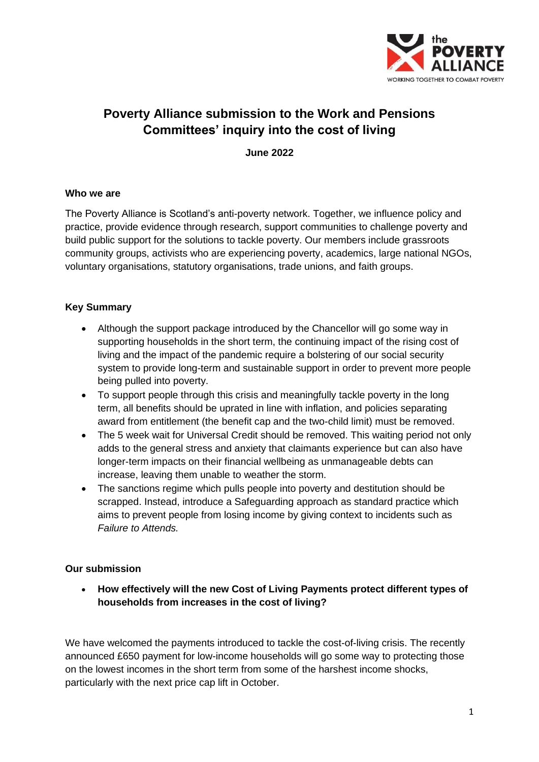

# **Poverty Alliance submission to the Work and Pensions Committees' inquiry into the cost of living**

**June 2022**

#### **Who we are**

The Poverty Alliance is Scotland's anti-poverty network. Together, we influence policy and practice, provide evidence through research, support communities to challenge poverty and build public support for the solutions to tackle poverty. Our members include grassroots community groups, activists who are experiencing poverty, academics, large national NGOs, voluntary organisations, statutory organisations, trade unions, and faith groups.

# **Key Summary**

- Although the support package introduced by the Chancellor will go some way in supporting households in the short term, the continuing impact of the rising cost of living and the impact of the pandemic require a bolstering of our social security system to provide long-term and sustainable support in order to prevent more people being pulled into poverty.
- To support people through this crisis and meaningfully tackle poverty in the long term, all benefits should be uprated in line with inflation, and policies separating award from entitlement (the benefit cap and the two-child limit) must be removed.
- The 5 week wait for Universal Credit should be removed. This waiting period not only adds to the general stress and anxiety that claimants experience but can also have longer-term impacts on their financial wellbeing as unmanageable debts can increase, leaving them unable to weather the storm.
- The sanctions regime which pulls people into poverty and destitution should be scrapped. Instead, introduce a Safeguarding approach as standard practice which aims to prevent people from losing income by giving context to incidents such as *Failure to Attends.*

#### **Our submission**

• **How effectively will the new Cost of Living Payments protect different types of households from increases in the cost of living?**

We have welcomed the payments introduced to tackle the cost-of-living crisis. The recently announced £650 payment for low-income households will go some way to protecting those on the lowest incomes in the short term from some of the harshest income shocks, particularly with the next price cap lift in October.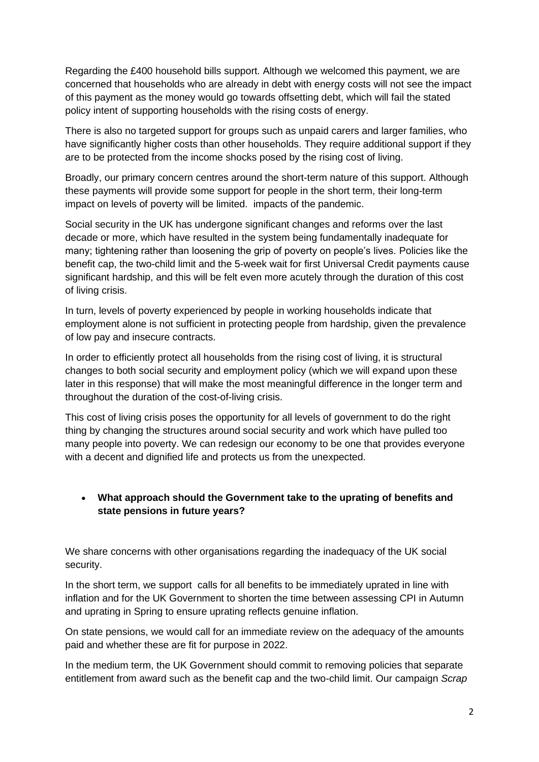Regarding the £400 household bills support. Although we welcomed this payment, we are concerned that households who are already in debt with energy costs will not see the impact of this payment as the money would go towards offsetting debt, which will fail the stated policy intent of supporting households with the rising costs of energy.

There is also no targeted support for groups such as unpaid carers and larger families, who have significantly higher costs than other households. They require additional support if they are to be protected from the income shocks posed by the rising cost of living.

Broadly, our primary concern centres around the short-term nature of this support. Although these payments will provide some support for people in the short term, their long-term impact on levels of poverty will be limited. impacts of the pandemic.

Social security in the UK has undergone significant changes and reforms over the last decade or more, which have resulted in the system being fundamentally inadequate for many; tightening rather than loosening the grip of poverty on people's lives. Policies like the benefit cap, the two-child limit and the 5-week wait for first Universal Credit payments cause significant hardship, and this will be felt even more acutely through the duration of this cost of living crisis.

In turn, levels of poverty experienced by people in working households indicate that employment alone is not sufficient in protecting people from hardship, given the prevalence of low pay and insecure contracts.

In order to efficiently protect all households from the rising cost of living, it is structural changes to both social security and employment policy (which we will expand upon these later in this response) that will make the most meaningful difference in the longer term and throughout the duration of the cost-of-living crisis.

This cost of living crisis poses the opportunity for all levels of government to do the right thing by changing the structures around social security and work which have pulled too many people into poverty. We can redesign our economy to be one that provides everyone with a decent and dignified life and protects us from the unexpected.

# • **What approach should the Government take to the uprating of benefits and state pensions in future years?**

We share concerns with other organisations regarding the inadequacy of the UK social security.

In the short term, we support calls for all benefits to be immediately uprated in line with inflation and for the UK Government to shorten the time between assessing CPI in Autumn and uprating in Spring to ensure uprating reflects genuine inflation.

On state pensions, we would call for an immediate review on the adequacy of the amounts paid and whether these are fit for purpose in 2022.

In the medium term, the UK Government should commit to removing policies that separate entitlement from award such as the benefit cap and the two-child limit. Our campaign *Scrap*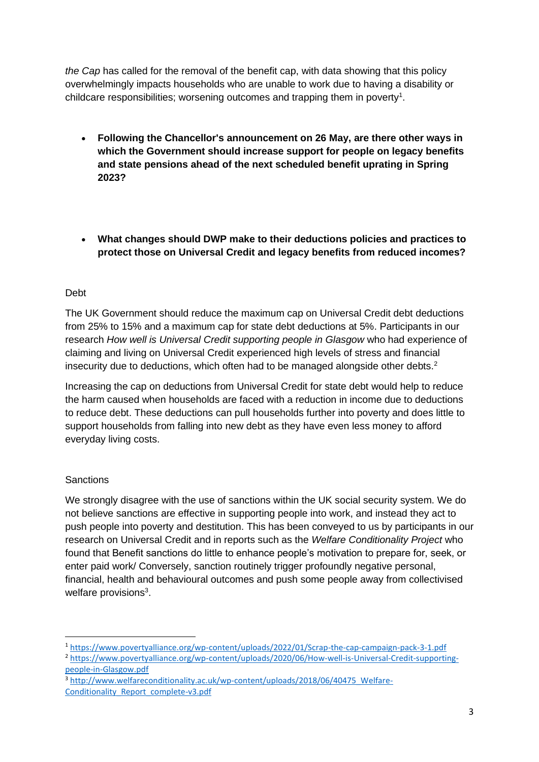*the Cap* has called for the removal of the benefit cap, with data showing that this policy overwhelmingly impacts households who are unable to work due to having a disability or childcare responsibilities; worsening outcomes and trapping them in poverty<sup>1</sup>.

- **Following the Chancellor's announcement on 26 May, are there other ways in which the Government should increase support for people on legacy benefits and state pensions ahead of the next scheduled benefit uprating in Spring 2023?**
- **What changes should DWP make to their deductions policies and practices to protect those on Universal Credit and legacy benefits from reduced incomes?**

# Debt

The UK Government should reduce the maximum cap on Universal Credit debt deductions from 25% to 15% and a maximum cap for state debt deductions at 5%. Participants in our research *How well is Universal Credit supporting people in Glasgow* who had experience of claiming and living on Universal Credit experienced high levels of stress and financial insecurity due to deductions, which often had to be managed alongside other debts.<sup>2</sup>

Increasing the cap on deductions from Universal Credit for state debt would help to reduce the harm caused when households are faced with a reduction in income due to deductions to reduce debt. These deductions can pull households further into poverty and does little to support households from falling into new debt as they have even less money to afford everyday living costs.

# **Sanctions**

We strongly disagree with the use of sanctions within the UK social security system. We do not believe sanctions are effective in supporting people into work, and instead they act to push people into poverty and destitution. This has been conveyed to us by participants in our research on Universal Credit and in reports such as the *Welfare Conditionality Project* who found that Benefit sanctions do little to enhance people's motivation to prepare for, seek, or enter paid work/ Conversely, sanction routinely trigger profoundly negative personal, financial, health and behavioural outcomes and push some people away from collectivised welfare provisions<sup>3</sup>.

<sup>1</sup> <https://www.povertyalliance.org/wp-content/uploads/2022/01/Scrap-the-cap-campaign-pack-3-1.pdf>

<sup>2</sup> [https://www.povertyalliance.org/wp-content/uploads/2020/06/How-well-is-Universal-Credit-supporting](https://www.povertyalliance.org/wp-content/uploads/2020/06/How-well-is-Universal-Credit-supporting-people-in-Glasgow.pdf)[people-in-Glasgow.pdf](https://www.povertyalliance.org/wp-content/uploads/2020/06/How-well-is-Universal-Credit-supporting-people-in-Glasgow.pdf)

<sup>3</sup> [http://www.welfareconditionality.ac.uk/wp-content/uploads/2018/06/40475\\_Welfare-](http://www.welfareconditionality.ac.uk/wp-content/uploads/2018/06/40475_Welfare-Conditionality_Report_complete-v3.pdf)[Conditionality\\_Report\\_complete-v3.pdf](http://www.welfareconditionality.ac.uk/wp-content/uploads/2018/06/40475_Welfare-Conditionality_Report_complete-v3.pdf)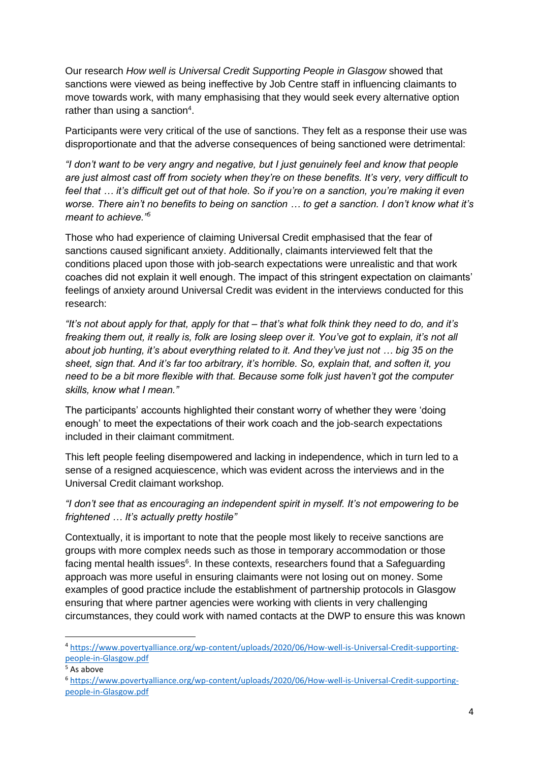Our research *How well is Universal Credit Supporting People in Glasgow* showed that sanctions were viewed as being ineffective by Job Centre staff in influencing claimants to move towards work, with many emphasising that they would seek every alternative option rather than using a sanction<sup>4</sup>.

Participants were very critical of the use of sanctions. They felt as a response their use was disproportionate and that the adverse consequences of being sanctioned were detrimental:

*"I don't want to be very angry and negative, but I just genuinely feel and know that people are just almost cast off from society when they're on these benefits. It's very, very difficult to feel that … it's difficult get out of that hole. So if you're on a sanction, you're making it even worse. There ain't no benefits to being on sanction … to get a sanction. I don't know what it's meant to achieve."<sup>5</sup>*

Those who had experience of claiming Universal Credit emphasised that the fear of sanctions caused significant anxiety. Additionally, claimants interviewed felt that the conditions placed upon those with job-search expectations were unrealistic and that work coaches did not explain it well enough. The impact of this stringent expectation on claimants' feelings of anxiety around Universal Credit was evident in the interviews conducted for this research:

*"It's not about apply for that, apply for that – that's what folk think they need to do, and it's freaking them out, it really is, folk are losing sleep over it. You've got to explain, it's not all about job hunting, it's about everything related to it. And they've just not … big 35 on the sheet, sign that. And it's far too arbitrary, it's horrible. So, explain that, and soften it, you need to be a bit more flexible with that. Because some folk just haven't got the computer skills, know what I mean."*

The participants' accounts highlighted their constant worry of whether they were 'doing enough' to meet the expectations of their work coach and the job-search expectations included in their claimant commitment.

This left people feeling disempowered and lacking in independence, which in turn led to a sense of a resigned acquiescence, which was evident across the interviews and in the Universal Credit claimant workshop.

*"I don't see that as encouraging an independent spirit in myself. It's not empowering to be frightened … It's actually pretty hostile"* 

Contextually, it is important to note that the people most likely to receive sanctions are groups with more complex needs such as those in temporary accommodation or those facing mental health issues<sup>6</sup>. In these contexts, researchers found that a Safeguarding approach was more useful in ensuring claimants were not losing out on money. Some examples of good practice include the establishment of partnership protocols in Glasgow ensuring that where partner agencies were working with clients in very challenging circumstances, they could work with named contacts at the DWP to ensure this was known

<sup>4</sup> [https://www.povertyalliance.org/wp-content/uploads/2020/06/How-well-is-Universal-Credit-supporting](https://www.povertyalliance.org/wp-content/uploads/2020/06/How-well-is-Universal-Credit-supporting-people-in-Glasgow.pdf)[people-in-Glasgow.pdf](https://www.povertyalliance.org/wp-content/uploads/2020/06/How-well-is-Universal-Credit-supporting-people-in-Glasgow.pdf)

<sup>5</sup> As above

<sup>6</sup> [https://www.povertyalliance.org/wp-content/uploads/2020/06/How-well-is-Universal-Credit-supporting](https://www.povertyalliance.org/wp-content/uploads/2020/06/How-well-is-Universal-Credit-supporting-people-in-Glasgow.pdf)[people-in-Glasgow.pdf](https://www.povertyalliance.org/wp-content/uploads/2020/06/How-well-is-Universal-Credit-supporting-people-in-Glasgow.pdf)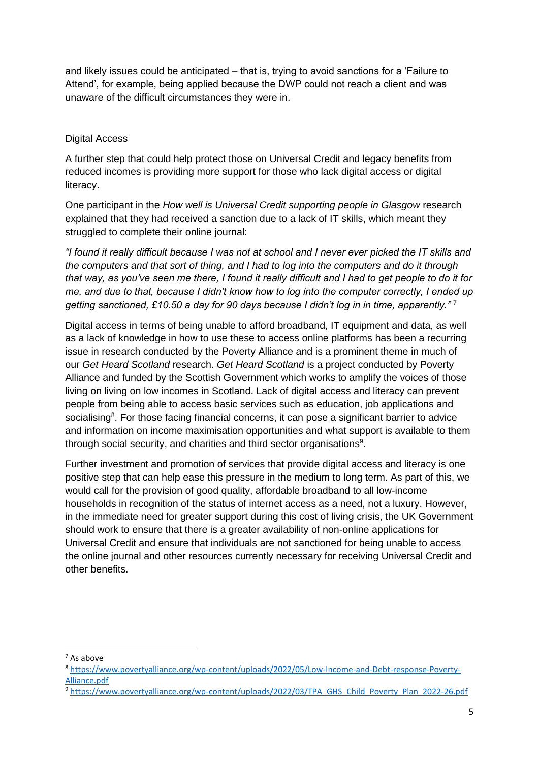and likely issues could be anticipated – that is, trying to avoid sanctions for a 'Failure to Attend', for example, being applied because the DWP could not reach a client and was unaware of the difficult circumstances they were in.

#### Digital Access

A further step that could help protect those on Universal Credit and legacy benefits from reduced incomes is providing more support for those who lack digital access or digital literacy.

One participant in the *How well is Universal Credit supporting people in Glasgow* research explained that they had received a sanction due to a lack of IT skills, which meant they struggled to complete their online journal:

*"I found it really difficult because I was not at school and I never ever picked the IT skills and the computers and that sort of thing, and I had to log into the computers and do it through that way, as you've seen me there, I found it really difficult and I had to get people to do it for me, and due to that, because I didn't know how to log into the computer correctly, I ended up getting sanctioned, £10.50 a day for 90 days because I didn't log in in time, apparently."* <sup>7</sup>

Digital access in terms of being unable to afford broadband, IT equipment and data, as well as a lack of knowledge in how to use these to access online platforms has been a recurring issue in research conducted by the Poverty Alliance and is a prominent theme in much of our *Get Heard Scotland* research. *Get Heard Scotland* is a project conducted by Poverty Alliance and funded by the Scottish Government which works to amplify the voices of those living on living on low incomes in Scotland. Lack of digital access and literacy can prevent people from being able to access basic services such as education, job applications and socialising<sup>8</sup>. For those facing financial concerns, it can pose a significant barrier to advice and information on income maximisation opportunities and what support is available to them through social security, and charities and third sector organisations<sup>9</sup>.

Further investment and promotion of services that provide digital access and literacy is one positive step that can help ease this pressure in the medium to long term. As part of this, we would call for the provision of good quality, affordable broadband to all low-income households in recognition of the status of internet access as a need, not a luxury. However, in the immediate need for greater support during this cost of living crisis, the UK Government should work to ensure that there is a greater availability of non-online applications for Universal Credit and ensure that individuals are not sanctioned for being unable to access the online journal and other resources currently necessary for receiving Universal Credit and other benefits.

<sup>7</sup> As above

<sup>8</sup> [https://www.povertyalliance.org/wp-content/uploads/2022/05/Low-Income-and-Debt-response-Poverty-](https://www.povertyalliance.org/wp-content/uploads/2022/05/Low-Income-and-Debt-response-Poverty-Alliance.pdf)[Alliance.pdf](https://www.povertyalliance.org/wp-content/uploads/2022/05/Low-Income-and-Debt-response-Poverty-Alliance.pdf)

<sup>9</sup> [https://www.povertyalliance.org/wp-content/uploads/2022/03/TPA\\_GHS\\_Child\\_Poverty\\_Plan\\_2022-26.pdf](https://www.povertyalliance.org/wp-content/uploads/2022/03/TPA_GHS_Child_Poverty_Plan_2022-26.pdf)